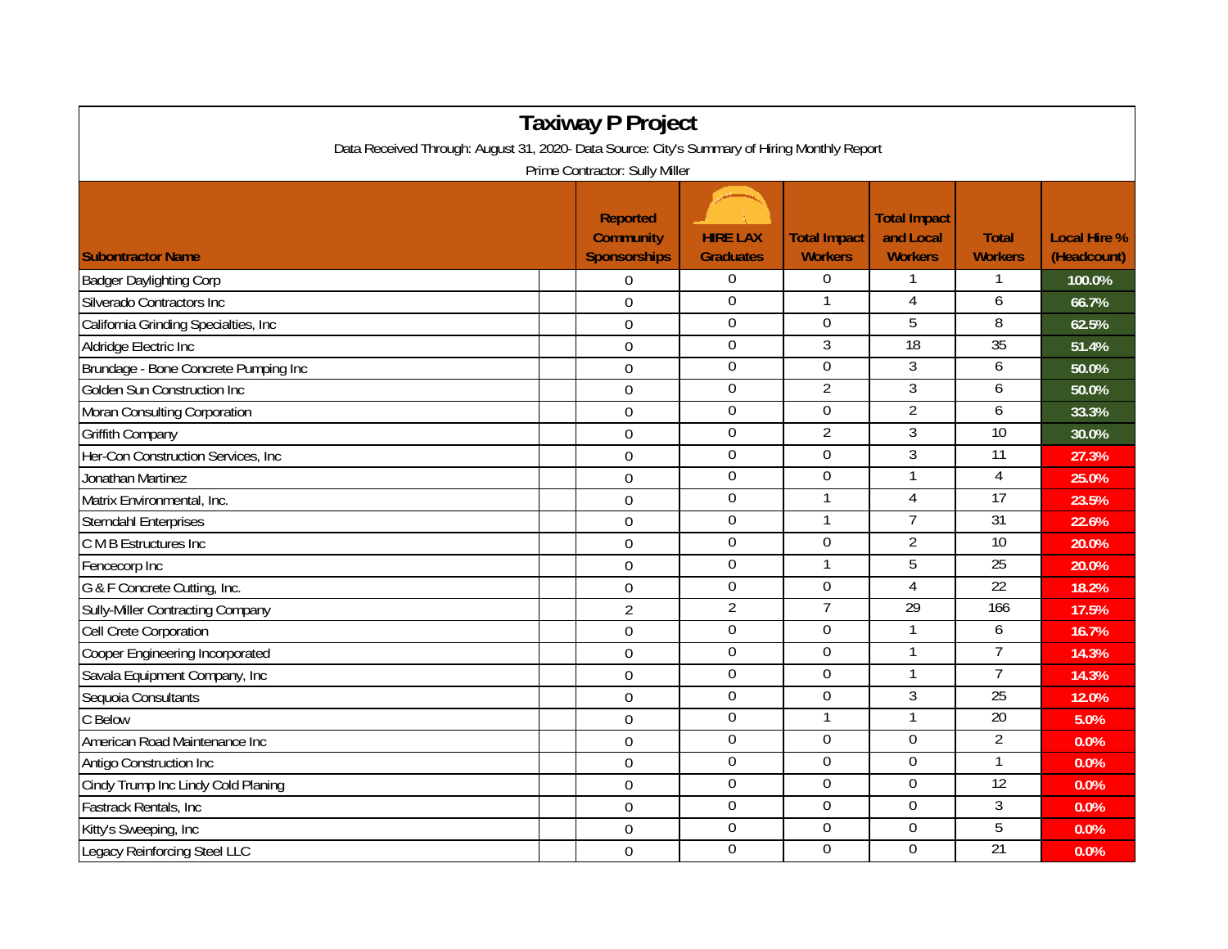| <b>Taxiway P Project</b>                                                                     |                                                            |                                     |                                       |                                                    |                                |                                    |  |  |  |  |  |  |
|----------------------------------------------------------------------------------------------|------------------------------------------------------------|-------------------------------------|---------------------------------------|----------------------------------------------------|--------------------------------|------------------------------------|--|--|--|--|--|--|
| Data Received Through: August 31, 2020- Data Source: City's Summary of Hiring Monthly Report |                                                            |                                     |                                       |                                                    |                                |                                    |  |  |  |  |  |  |
| Prime Contractor: Sully Miller                                                               |                                                            |                                     |                                       |                                                    |                                |                                    |  |  |  |  |  |  |
| <b>Subontractor Name</b>                                                                     | <b>Reported</b><br><b>Community</b><br><b>Sponsorships</b> | <b>HIRE LAX</b><br><b>Graduates</b> | <b>Total Impact</b><br><b>Workers</b> | <b>Total Impact</b><br>and Local<br><b>Workers</b> | <b>Total</b><br><b>Workers</b> | <b>Local Hire %</b><br>(Headcount) |  |  |  |  |  |  |
| <b>Badger Daylighting Corp</b>                                                               | $\mathbf 0$                                                | 0                                   | $\Omega$                              |                                                    |                                | 100.0%                             |  |  |  |  |  |  |
| Silverado Contractors Inc                                                                    | $\overline{0}$                                             | $\mathbf 0$                         |                                       | $\overline{4}$                                     | 6                              | 66.7%                              |  |  |  |  |  |  |
| California Grinding Specialties, Inc                                                         | $\mathbf 0$                                                | $\mathbf 0$                         | $\mathbf 0$                           | 5                                                  | 8                              | 62.5%                              |  |  |  |  |  |  |
| Aldridge Electric Inc                                                                        | $\Omega$                                                   | $\overline{0}$                      | $\overline{3}$                        | 18                                                 | 35                             | 51.4%                              |  |  |  |  |  |  |
| Brundage - Bone Concrete Pumping Inc                                                         | $\Omega$                                                   | $\mathbf 0$                         | $\overline{0}$                        | $\overline{3}$                                     | 6                              | 50.0%                              |  |  |  |  |  |  |
| Golden Sun Construction Inc                                                                  | $\mathbf 0$                                                | $\mathbf 0$                         | $\overline{2}$                        | $\overline{3}$                                     | 6                              | 50.0%                              |  |  |  |  |  |  |
| Moran Consulting Corporation                                                                 | $\boldsymbol{0}$                                           | $\boldsymbol{0}$                    | $\boldsymbol{0}$                      | $\overline{2}$                                     | 6                              | 33.3%                              |  |  |  |  |  |  |
| <b>Griffith Company</b>                                                                      | $\overline{0}$                                             | $\overline{0}$                      | $\overline{2}$                        | 3                                                  | 10                             | 30.0%                              |  |  |  |  |  |  |
| Her-Con Construction Services, Inc                                                           | $\mathbf 0$                                                | $\boldsymbol{0}$                    | $\mathbf 0$                           | $\overline{3}$                                     | $\overline{11}$                | 27.3%                              |  |  |  |  |  |  |
| Jonathan Martinez                                                                            | $\Omega$                                                   | $\overline{0}$                      | $\overline{0}$                        |                                                    | $\overline{4}$                 | 25.0%                              |  |  |  |  |  |  |
| Matrix Environmental, Inc.                                                                   | $\overline{0}$                                             | 0                                   | $\mathbf 1$                           | $\overline{4}$                                     | 17                             | 23.5%                              |  |  |  |  |  |  |
| <b>Sterndahl Enterprises</b>                                                                 | $\mathbf 0$                                                | $\overline{0}$                      |                                       | 7                                                  | $\overline{31}$                | 22.6%                              |  |  |  |  |  |  |
| C M B Estructures Inc                                                                        | $\boldsymbol{0}$                                           | $\boldsymbol{0}$                    | $\overline{0}$                        | $\overline{2}$                                     | 10                             | 20.0%                              |  |  |  |  |  |  |
| Fencecorp Inc                                                                                | $\overline{0}$                                             | $\boldsymbol{0}$                    | $\mathbf 1$                           | 5                                                  | $\overline{25}$                | 20.0%                              |  |  |  |  |  |  |
| G & F Concrete Cutting, Inc.                                                                 | $\mathbf 0$                                                | $\boldsymbol{0}$                    | $\mathbf 0$                           | $\overline{4}$                                     | 22                             | 18.2%                              |  |  |  |  |  |  |
| <b>Sully-Miller Contracting Company</b>                                                      | $\overline{2}$                                             | $\overline{2}$                      | $\overline{7}$                        | 29                                                 | 166                            | 17.5%                              |  |  |  |  |  |  |
| <b>Cell Crete Corporation</b>                                                                | $\Omega$                                                   | $\overline{0}$                      | $\overline{0}$                        |                                                    | 6                              | 16.7%                              |  |  |  |  |  |  |
| Cooper Engineering Incorporated                                                              | $\boldsymbol{0}$                                           | 0                                   | $\overline{0}$                        |                                                    | $\overline{7}$                 | 14.3%                              |  |  |  |  |  |  |
| Savala Equipment Company, Inc                                                                | $\boldsymbol{0}$                                           | $\boldsymbol{0}$                    | $\boldsymbol{0}$                      |                                                    | $\overline{7}$                 | 14.3%                              |  |  |  |  |  |  |
| Sequoia Consultants                                                                          | $\boldsymbol{0}$                                           | $\boldsymbol{0}$                    | $\boldsymbol{0}$                      | 3                                                  | 25                             | 12.0%                              |  |  |  |  |  |  |
| C Below                                                                                      | $\mathbf 0$                                                | $\overline{0}$                      |                                       | 1                                                  | 20                             | 5.0%                               |  |  |  |  |  |  |
| American Road Maintenance Inc                                                                | $\overline{0}$                                             | $\mathbf 0$                         | $\mathbf 0$                           | $\mathbf 0$                                        | $\overline{2}$                 | 0.0%                               |  |  |  |  |  |  |
| Antigo Construction Inc                                                                      | $\overline{0}$                                             | 0                                   | $\overline{0}$                        | $\overline{0}$                                     | 1                              | 0.0%                               |  |  |  |  |  |  |
| Cindy Trump Inc Lindy Cold Planing                                                           | $\boldsymbol{0}$                                           | 0                                   | $\Omega$                              | $\Omega$                                           | $\overline{12}$                | 0.0%                               |  |  |  |  |  |  |
| Fastrack Rentals, Inc                                                                        | $\overline{0}$                                             | $\overline{0}$                      | 0                                     | $\overline{0}$                                     | 3                              | 0.0%                               |  |  |  |  |  |  |
| Kitty's Sweeping, Inc                                                                        | $\boldsymbol{0}$                                           | $\boldsymbol{0}$                    | $\mathbf 0$                           | $\mathbf 0$                                        | $\overline{5}$                 | 0.0%                               |  |  |  |  |  |  |
| Legacy Reinforcing Steel LLC                                                                 | $\mathbf 0$                                                | $\mathbf 0$                         | $\overline{0}$                        | $\overline{0}$                                     | $\overline{21}$                | 0.0%                               |  |  |  |  |  |  |